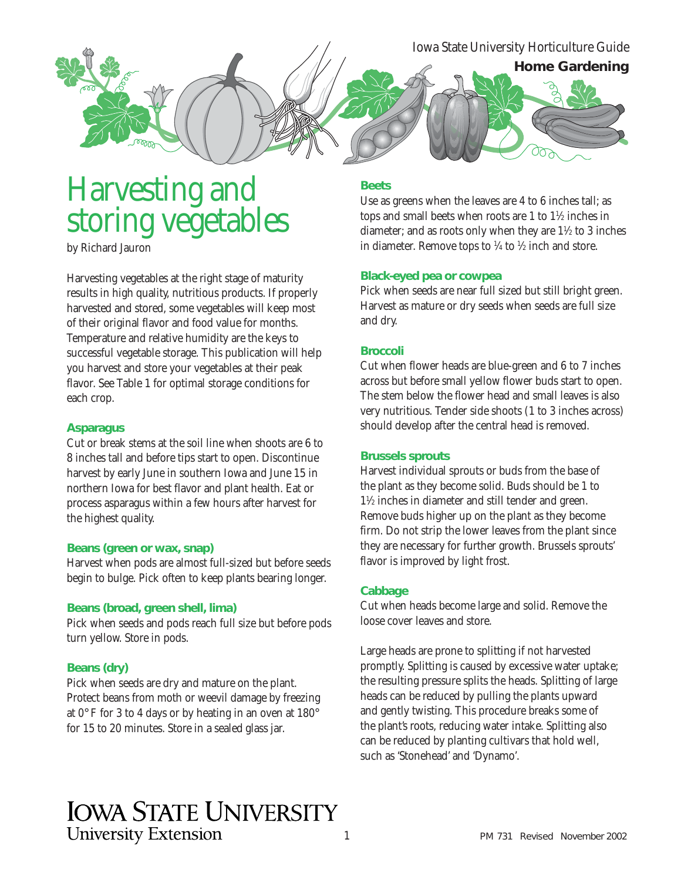Iowa State University Horticulture Guide



# Harvesting and storing vegetables

by Richard Jauron

Harvesting vegetables at the right stage of maturity results in high quality, nutritious products. If properly harvested and stored, some vegetables will keep most of their original flavor and food value for months. Temperature and relative humidity are the keys to successful vegetable storage. This publication will help you harvest and store your vegetables at their peak flavor. See Table 1 for optimal storage conditions for each crop.

#### **Asparagus**

Cut or break stems at the soil line when shoots are 6 to 8 inches tall and before tips start to open. Discontinue harvest by early June in southern Iowa and June 15 in northern Iowa for best flavor and plant health. Eat or process asparagus within a few hours after harvest for the highest quality.

#### **Beans (green or wax, snap)**

Harvest when pods are almost full-sized but before seeds begin to bulge. Pick often to keep plants bearing longer.

# **Beans (broad, green shell, lima)**

Pick when seeds and pods reach full size but before pods turn yellow. Store in pods.

# **Beans (dry)**

Pick when seeds are dry and mature on the plant. Protect beans from moth or weevil damage by freezing at 0° F for 3 to 4 days or by heating in an oven at 180° for 15 to 20 minutes. Store in a sealed glass jar.

# **Beets**

Use as greens when the leaves are 4 to 6 inches tall; as tops and small beets when roots are 1 to 11 ⁄2 inches in diameter; and as roots only when they are 11 ⁄2 to 3 inches in diameter. Remove tops to  $\frac{1}{4}$  to  $\frac{1}{2}$  inch and store.

#### **Black-eyed pea or cowpea**

Pick when seeds are near full sized but still bright green. Harvest as mature or dry seeds when seeds are full size and dry.

# **Broccoli**

Cut when flower heads are blue-green and 6 to 7 inches across but before small yellow flower buds start to open. The stem below the flower head and small leaves is also very nutritious. Tender side shoots (1 to 3 inches across) should develop after the central head is removed.

# **Brussels sprouts**

Harvest individual sprouts or buds from the base of the plant as they become solid. Buds should be 1 to 11 ⁄2 inches in diameter and still tender and green. Remove buds higher up on the plant as they become firm. Do not strip the lower leaves from the plant since they are necessary for further growth. Brussels sprouts' flavor is improved by light frost.

# **Cabbage**

Cut when heads become large and solid. Remove the loose cover leaves and store.

Large heads are prone to splitting if not harvested promptly. Splitting is caused by excessive water uptake; the resulting pressure splits the heads. Splitting of large heads can be reduced by pulling the plants upward and gently twisting. This procedure breaks some of the plant's roots, reducing water intake. Splitting also can be reduced by planting cultivars that hold well, such as 'Stonehead' and 'Dynamo'.

# **IOWA STATE UNIVERSITY**

**University Extension**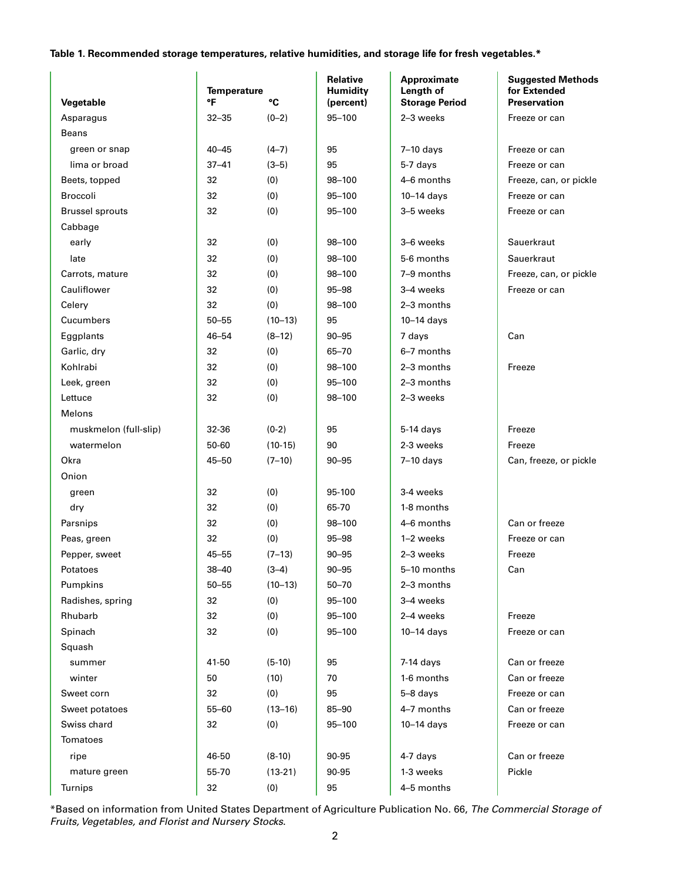**Table 1. Recommended storage temperatures, relative humidities, and storage life for fresh vegetables.\***

| Vegetable              | <b>Temperature</b><br>°F<br>°C |             | Relative<br><b>Humidity</b><br>(percent) | Approximate<br>Length of<br><b>Storage Period</b> | <b>Suggested Methods</b><br>for Extended<br><b>Preservation</b> |
|------------------------|--------------------------------|-------------|------------------------------------------|---------------------------------------------------|-----------------------------------------------------------------|
| Asparagus              | $32 - 35$                      | $(0-2)$     | $95 - 100$                               | 2-3 weeks                                         | Freeze or can                                                   |
| <b>Beans</b>           |                                |             |                                          |                                                   |                                                                 |
| green or snap          | $40 - 45$                      | $(4-7)$     | 95                                       | $7-10$ days                                       | Freeze or can                                                   |
| lima or broad          | $37 - 41$                      | $(3-5)$     | 95                                       | 5-7 days                                          | Freeze or can                                                   |
| Beets, topped          | 32                             | (0)         | 98-100                                   | 4-6 months                                        | Freeze, can, or pickle                                          |
| <b>Broccoli</b>        | 32                             | (0)         | 95-100                                   | $10-14$ days                                      | Freeze or can                                                   |
| <b>Brussel sprouts</b> | 32                             | (0)         | $95 - 100$                               | 3-5 weeks                                         | Freeze or can                                                   |
| Cabbage                |                                |             |                                          |                                                   |                                                                 |
| early                  | 32                             | (0)         | 98-100                                   | 3-6 weeks                                         | Sauerkraut                                                      |
| late                   | 32                             | (0)         | 98-100                                   | 5-6 months                                        | Sauerkraut                                                      |
| Carrots, mature        | 32                             | (0)         | 98-100                                   | 7-9 months                                        | Freeze, can, or pickle                                          |
| Cauliflower            | 32                             | (0)         | $95 - 98$                                | 3-4 weeks                                         | Freeze or can                                                   |
| Celery                 | 32                             | (0)         | 98-100                                   | 2-3 months                                        |                                                                 |
| Cucumbers              | $50 - 55$                      | $(10-13)$   | 95                                       | $10-14$ days                                      |                                                                 |
| Eggplants              | 46-54                          | $(8-12)$    | $90 - 95$                                | 7 days                                            | Can                                                             |
| Garlic, dry            | 32                             | (0)         | 65-70                                    | 6-7 months                                        |                                                                 |
| Kohlrabi               | 32                             | (0)         | 98-100                                   | $2-3$ months                                      | Freeze                                                          |
| Leek, green            | 32                             | (0)         | $95 - 100$                               | 2-3 months                                        |                                                                 |
| Lettuce                | 32                             | (0)         | 98-100                                   | 2-3 weeks                                         |                                                                 |
| <b>Melons</b>          |                                |             |                                          |                                                   |                                                                 |
| muskmelon (full-slip)  | 32-36                          | $(0-2)$     | 95                                       | $5-14$ days                                       | Freeze                                                          |
| watermelon             | 50-60                          | $(10-15)$   | 90                                       | 2-3 weeks                                         | Freeze                                                          |
| Okra                   | 45-50                          | $(7-10)$    | $90 - 95$                                | $7-10$ days                                       | Can, freeze, or pickle                                          |
| Onion                  |                                |             |                                          |                                                   |                                                                 |
| green                  | 32                             | (0)         | 95-100                                   | 3-4 weeks                                         |                                                                 |
| dry                    | 32                             | (0)         | 65-70                                    | 1-8 months                                        |                                                                 |
| Parsnips               | 32                             | (0)         | $98 - 100$                               | 4-6 months                                        | Can or freeze                                                   |
| Peas, green            | 32                             | (0)         | $95 - 98$                                | 1-2 weeks                                         | Freeze or can                                                   |
| Pepper, sweet          | 45–55                          | $(7-13)$    | $90 - 95$                                | 2-3 weeks                                         | Freeze                                                          |
| Potatoes               | 38-40                          | $(3-4)$     | $90 - 95$                                | 5-10 months                                       | Can                                                             |
| Pumpkins               | $50 - 55$                      | $(10-13)$   | $50 - 70$                                | 2-3 months                                        |                                                                 |
| Radishes, spring       | 32                             | (0)         | $95 - 100$                               | 3-4 weeks                                         |                                                                 |
| Rhubarb                | 32                             | (0)         | 95-100                                   | 2-4 weeks                                         | Freeze                                                          |
| Spinach                | 32                             | (0)         | $95 - 100$                               | $10-14$ days                                      | Freeze or can                                                   |
| Squash                 |                                |             |                                          |                                                   |                                                                 |
| summer                 | 41-50                          | $(5-10)$    | 95                                       | $7-14$ days                                       | Can or freeze                                                   |
| winter                 | 50                             | (10)        | 70                                       | 1-6 months                                        | Can or freeze                                                   |
| Sweet corn             | 32                             | (0)         | 95                                       | 5-8 days                                          | Freeze or can                                                   |
| Sweet potatoes         | $55 - 60$                      | $(13 - 16)$ | 85-90                                    | 4-7 months                                        | Can or freeze                                                   |
| Swiss chard            | 32                             | (0)         | $95 - 100$                               | $10-14$ days                                      | Freeze or can                                                   |
| Tomatoes               |                                |             |                                          |                                                   |                                                                 |
| ripe                   | 46-50                          | $(8-10)$    | 90-95                                    | 4-7 days                                          | Can or freeze                                                   |
| mature green           | 55-70                          | $(13-21)$   | 90-95                                    | 1-3 weeks                                         | Pickle                                                          |
| Turnips                | 32                             | (0)         | 95                                       | 4-5 months                                        |                                                                 |

\*Based on information from United States Department of Agriculture Publication No. 66, *The Commercial Storage of Fruits, Vegetables, and Florist and Nursery Stocks*.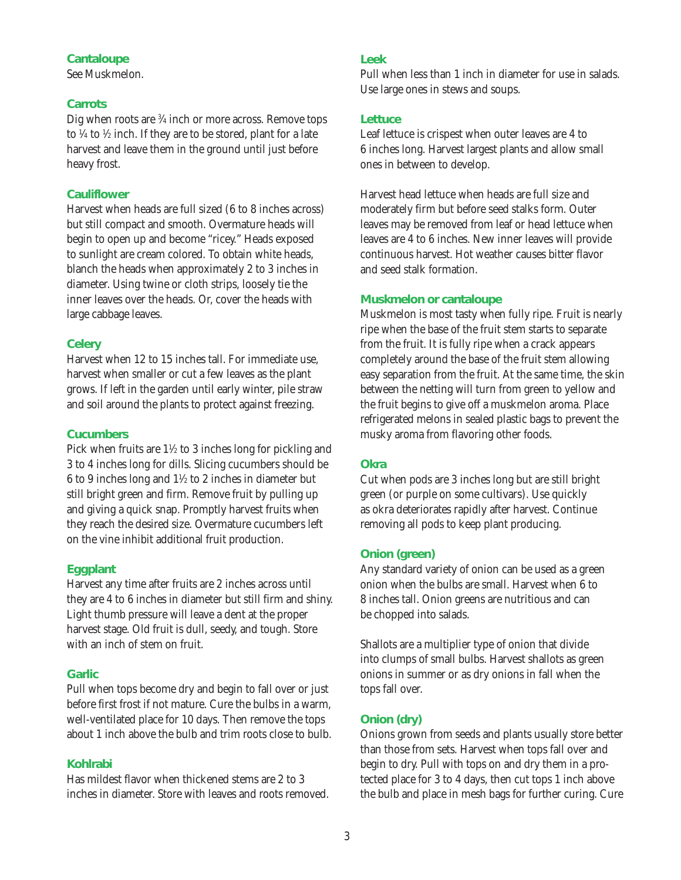#### **Cantaloupe**

See Muskmelon.

#### **Carrots**

Dig when roots are 3 ⁄4 inch or more across. Remove tops to  $\frac{1}{4}$  to  $\frac{1}{2}$  inch. If they are to be stored, plant for a late harvest and leave them in the ground until just before heavy frost.

#### **Cauliflower**

Harvest when heads are full sized (6 to 8 inches across) but still compact and smooth. Overmature heads will begin to open up and become "ricey." Heads exposed to sunlight are cream colored. To obtain white heads, blanch the heads when approximately 2 to 3 inches in diameter. Using twine or cloth strips, loosely tie the inner leaves over the heads. Or, cover the heads with large cabbage leaves.

#### **Celery**

Harvest when 12 to 15 inches tall. For immediate use, harvest when smaller or cut a few leaves as the plant grows. If left in the garden until early winter, pile straw and soil around the plants to protect against freezing.

# **Cucumbers**

Pick when fruits are  $1\frac{1}{2}$  to 3 inches long for pickling and 3 to 4 inches long for dills. Slicing cucumbers should be 6 to 9 inches long and  $1\frac{1}{2}$  to 2 inches in diameter but still bright green and firm. Remove fruit by pulling up and giving a quick snap. Promptly harvest fruits when they reach the desired size. Overmature cucumbers left on the vine inhibit additional fruit production.

#### **Eggplant**

Harvest any time after fruits are 2 inches across until they are 4 to 6 inches in diameter but still firm and shiny. Light thumb pressure will leave a dent at the proper harvest stage. Old fruit is dull, seedy, and tough. Store with an inch of stem on fruit.

#### **Garlic**

Pull when tops become dry and begin to fall over or just before first frost if not mature. Cure the bulbs in a warm, well-ventilated place for 10 days. Then remove the tops about 1 inch above the bulb and trim roots close to bulb.

# **Kohlrabi**

Has mildest flavor when thickened stems are 2 to 3 inches in diameter. Store with leaves and roots removed.

#### **Leek**

Pull when less than 1 inch in diameter for use in salads. Use large ones in stews and soups.

#### **Lettuce**

Leaf lettuce is crispest when outer leaves are 4 to 6 inches long. Harvest largest plants and allow small ones in between to develop.

Harvest head lettuce when heads are full size and moderately firm but before seed stalks form. Outer leaves may be removed from leaf or head lettuce when leaves are 4 to 6 inches. New inner leaves will provide continuous harvest. Hot weather causes bitter flavor and seed stalk formation.

#### **Muskmelon or cantaloupe**

Muskmelon is most tasty when fully ripe. Fruit is nearly ripe when the base of the fruit stem starts to separate from the fruit. It is fully ripe when a crack appears completely around the base of the fruit stem allowing easy separation from the fruit. At the same time, the skin between the netting will turn from green to yellow and the fruit begins to give off a muskmelon aroma. Place refrigerated melons in sealed plastic bags to prevent the musky aroma from flavoring other foods.

#### **Okra**

Cut when pods are 3 inches long but are still bright green (or purple on some cultivars). Use quickly as okra deteriorates rapidly after harvest. Continue removing all pods to keep plant producing.

# **Onion (green)**

Any standard variety of onion can be used as a green onion when the bulbs are small. Harvest when 6 to 8 inches tall. Onion greens are nutritious and can be chopped into salads.

Shallots are a multiplier type of onion that divide into clumps of small bulbs. Harvest shallots as green onions in summer or as dry onions in fall when the tops fall over.

# **Onion (dry)**

Onions grown from seeds and plants usually store better than those from sets. Harvest when tops fall over and begin to dry. Pull with tops on and dry them in a protected place for 3 to 4 days, then cut tops 1 inch above the bulb and place in mesh bags for further curing. Cure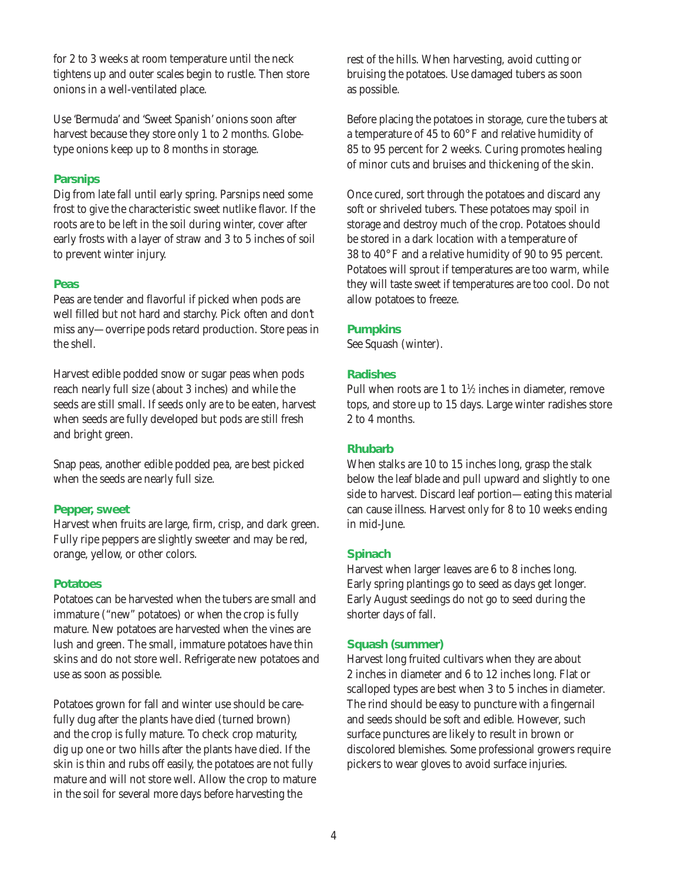for 2 to 3 weeks at room temperature until the neck tightens up and outer scales begin to rustle. Then store onions in a well-ventilated place.

Use 'Bermuda' and 'Sweet Spanish' onions soon after harvest because they store only 1 to 2 months. Globetype onions keep up to 8 months in storage.

#### **Parsnips**

Dig from late fall until early spring. Parsnips need some frost to give the characteristic sweet nutlike flavor. If the roots are to be left in the soil during winter, cover after early frosts with a layer of straw and 3 to 5 inches of soil to prevent winter injury.

#### **Peas**

Peas are tender and flavorful if picked when pods are well filled but not hard and starchy. Pick often and don't miss any—overripe pods retard production. Store peas in the shell.

Harvest edible podded snow or sugar peas when pods reach nearly full size (about 3 inches) and while the seeds are still small. If seeds only are to be eaten, harvest when seeds are fully developed but pods are still fresh and bright green.

Snap peas, another edible podded pea, are best picked when the seeds are nearly full size.

#### **Pepper, sweet**

Harvest when fruits are large, firm, crisp, and dark green. Fully ripe peppers are slightly sweeter and may be red, orange, yellow, or other colors.

#### **Potatoes**

Potatoes can be harvested when the tubers are small and immature ("new" potatoes) or when the crop is fully mature. New potatoes are harvested when the vines are lush and green. The small, immature potatoes have thin skins and do not store well. Refrigerate new potatoes and use as soon as possible.

Potatoes grown for fall and winter use should be carefully dug after the plants have died (turned brown) and the crop is fully mature. To check crop maturity, dig up one or two hills after the plants have died. If the skin is thin and rubs off easily, the potatoes are not fully mature and will not store well. Allow the crop to mature in the soil for several more days before harvesting the

rest of the hills. When harvesting, avoid cutting or bruising the potatoes. Use damaged tubers as soon as possible.

Before placing the potatoes in storage, cure the tubers at a temperature of 45 to 60° F and relative humidity of 85 to 95 percent for 2 weeks. Curing promotes healing of minor cuts and bruises and thickening of the skin.

Once cured, sort through the potatoes and discard any soft or shriveled tubers. These potatoes may spoil in storage and destroy much of the crop. Potatoes should be stored in a dark location with a temperature of 38 to 40° F and a relative humidity of 90 to 95 percent. Potatoes will sprout if temperatures are too warm, while they will taste sweet if temperatures are too cool. Do not allow potatoes to freeze.

### **Pumpkins**

See Squash (winter).

#### **Radishes**

Pull when roots are  $1$  to  $1\frac{1}{2}$  inches in diameter, remove tops, and store up to 15 days. Large winter radishes store 2 to 4 months.

# **Rhubarb**

When stalks are 10 to 15 inches long, grasp the stalk below the leaf blade and pull upward and slightly to one side to harvest. Discard leaf portion—eating this material can cause illness. Harvest only for 8 to 10 weeks ending in mid-June.

#### **Spinach**

Harvest when larger leaves are 6 to 8 inches long. Early spring plantings go to seed as days get longer. Early August seedings do not go to seed during the shorter days of fall.

# **Squash (summer)**

Harvest long fruited cultivars when they are about 2 inches in diameter and 6 to 12 inches long. Flat or scalloped types are best when 3 to 5 inches in diameter. The rind should be easy to puncture with a fingernail and seeds should be soft and edible. However, such surface punctures are likely to result in brown or discolored blemishes. Some professional growers require pickers to wear gloves to avoid surface injuries.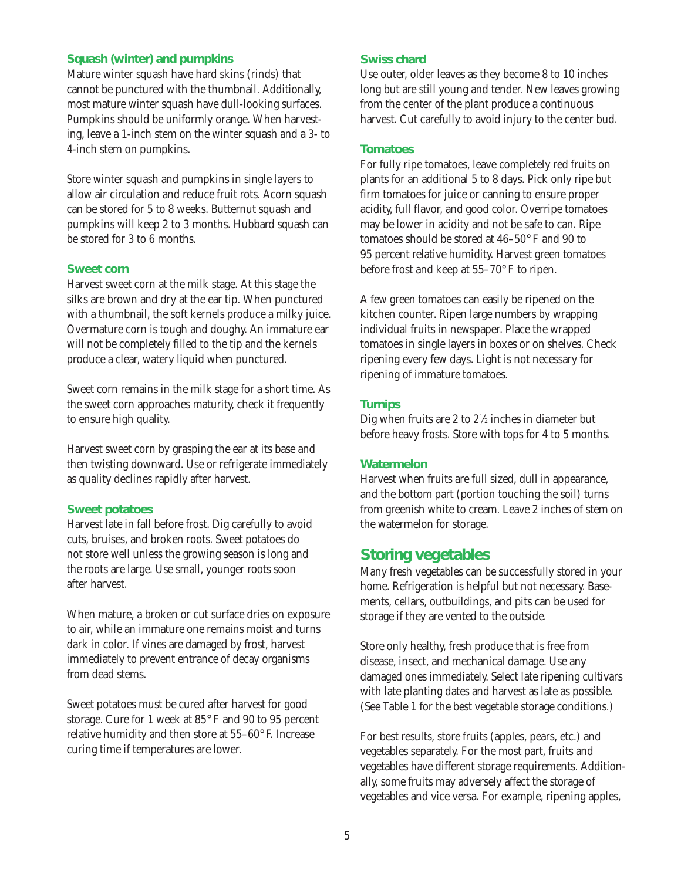#### **Squash (winter) and pumpkins**

Mature winter squash have hard skins (rinds) that cannot be punctured with the thumbnail. Additionally, most mature winter squash have dull-looking surfaces. Pumpkins should be uniformly orange. When harvesting, leave a 1-inch stem on the winter squash and a 3- to 4-inch stem on pumpkins.

Store winter squash and pumpkins in single layers to allow air circulation and reduce fruit rots. Acorn squash can be stored for 5 to 8 weeks. Butternut squash and pumpkins will keep 2 to 3 months. Hubbard squash can be stored for 3 to 6 months.

#### **Sweet corn**

Harvest sweet corn at the milk stage. At this stage the silks are brown and dry at the ear tip. When punctured with a thumbnail, the soft kernels produce a milky juice. Overmature corn is tough and doughy. An immature ear will not be completely filled to the tip and the kernels produce a clear, watery liquid when punctured.

Sweet corn remains in the milk stage for a short time. As the sweet corn approaches maturity, check it frequently to ensure high quality.

Harvest sweet corn by grasping the ear at its base and then twisting downward. Use or refrigerate immediately as quality declines rapidly after harvest.

#### **Sweet potatoes**

Harvest late in fall before frost. Dig carefully to avoid cuts, bruises, and broken roots. Sweet potatoes do not store well unless the growing season is long and the roots are large. Use small, younger roots soon after harvest.

When mature, a broken or cut surface dries on exposure to air, while an immature one remains moist and turns dark in color. If vines are damaged by frost, harvest immediately to prevent entrance of decay organisms from dead stems.

Sweet potatoes must be cured after harvest for good storage. Cure for 1 week at 85° F and 90 to 95 percent relative humidity and then store at 55–60° F. Increase curing time if temperatures are lower.

#### **Swiss chard**

Use outer, older leaves as they become 8 to 10 inches long but are still young and tender. New leaves growing from the center of the plant produce a continuous harvest. Cut carefully to avoid injury to the center bud.

#### **Tomatoes**

For fully ripe tomatoes, leave completely red fruits on plants for an additional 5 to 8 days. Pick only ripe but firm tomatoes for juice or canning to ensure proper acidity, full flavor, and good color. Overripe tomatoes may be lower in acidity and not be safe to can. Ripe tomatoes should be stored at 46–50° F and 90 to 95 percent relative humidity. Harvest green tomatoes before frost and keep at 55–70° F to ripen.

A few green tomatoes can easily be ripened on the kitchen counter. Ripen large numbers by wrapping individual fruits in newspaper. Place the wrapped tomatoes in single layers in boxes or on shelves. Check ripening every few days. Light is not necessary for ripening of immature tomatoes.

#### **Turnips**

Dig when fruits are 2 to 21 ⁄2 inches in diameter but before heavy frosts. Store with tops for 4 to 5 months.

# **Watermelon**

Harvest when fruits are full sized, dull in appearance, and the bottom part (portion touching the soil) turns from greenish white to cream. Leave 2 inches of stem on the watermelon for storage.

# **Storing vegetables**

Many fresh vegetables can be successfully stored in your home. Refrigeration is helpful but not necessary. Basements, cellars, outbuildings, and pits can be used for storage if they are vented to the outside.

Store only healthy, fresh produce that is free from disease, insect, and mechanical damage. Use any damaged ones immediately. Select late ripening cultivars with late planting dates and harvest as late as possible. (See Table 1 for the best vegetable storage conditions.)

For best results, store fruits (apples, pears, etc.) and vegetables separately. For the most part, fruits and vegetables have different storage requirements. Additionally, some fruits may adversely affect the storage of vegetables and vice versa. For example, ripening apples,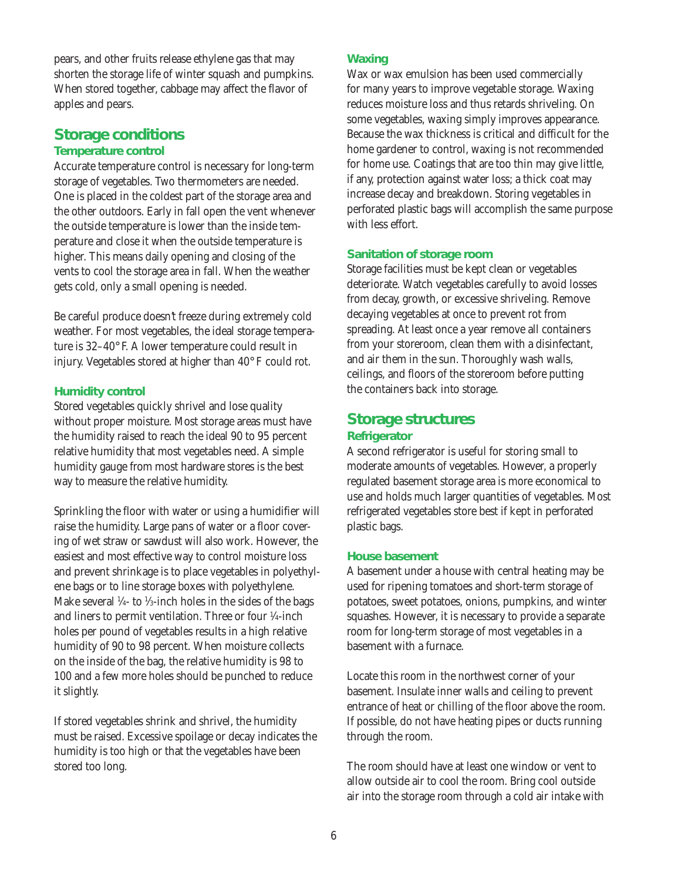pears, and other fruits release ethylene gas that may shorten the storage life of winter squash and pumpkins. When stored together, cabbage may affect the flavor of apples and pears.

# **Storage conditions Temperature control**

Accurate temperature control is necessary for long-term storage of vegetables. Two thermometers are needed. One is placed in the coldest part of the storage area and the other outdoors. Early in fall open the vent whenever the outside temperature is lower than the inside temperature and close it when the outside temperature is higher. This means daily opening and closing of the vents to cool the storage area in fall. When the weather gets cold, only a small opening is needed.

Be careful produce doesn't freeze during extremely cold weather. For most vegetables, the ideal storage temperature is 32–40° F. A lower temperature could result in injury. Vegetables stored at higher than 40° F could rot.

# **Humidity control**

Stored vegetables quickly shrivel and lose quality without proper moisture. Most storage areas must have the humidity raised to reach the ideal 90 to 95 percent relative humidity that most vegetables need. A simple humidity gauge from most hardware stores is the best way to measure the relative humidity.

Sprinkling the floor with water or using a humidifier will raise the humidity. Large pans of water or a floor covering of wet straw or sawdust will also work. However, the easiest and most effective way to control moisture loss and prevent shrinkage is to place vegetables in polyethylene bags or to line storage boxes with polyethylene. Make several ¼- to ⅓-inch holes in the sides of the bags and liners to permit ventilation. Three or four 1 ⁄4-inch holes per pound of vegetables results in a high relative humidity of 90 to 98 percent. When moisture collects on the inside of the bag, the relative humidity is 98 to 100 and a few more holes should be punched to reduce it slightly.

If stored vegetables shrink and shrivel, the humidity must be raised. Excessive spoilage or decay indicates the humidity is too high or that the vegetables have been stored too long.

# **Waxing**

Wax or wax emulsion has been used commercially for many years to improve vegetable storage. Waxing reduces moisture loss and thus retards shriveling. On some vegetables, waxing simply improves appearance. Because the wax thickness is critical and difficult for the home gardener to control, waxing is not recommended for home use. Coatings that are too thin may give little, if any, protection against water loss; a thick coat may increase decay and breakdown. Storing vegetables in perforated plastic bags will accomplish the same purpose with less effort.

# **Sanitation of storage room**

Storage facilities must be kept clean or vegetables deteriorate. Watch vegetables carefully to avoid losses from decay, growth, or excessive shriveling. Remove decaying vegetables at once to prevent rot from spreading. At least once a year remove all containers from your storeroom, clean them with a disinfectant, and air them in the sun. Thoroughly wash walls, ceilings, and floors of the storeroom before putting the containers back into storage.

# **Storage structures Refrigerator**

A second refrigerator is useful for storing small to moderate amounts of vegetables. However, a properly regulated basement storage area is more economical to use and holds much larger quantities of vegetables. Most refrigerated vegetables store best if kept in perforated plastic bags.

# **House basement**

A basement under a house with central heating may be used for ripening tomatoes and short-term storage of potatoes, sweet potatoes, onions, pumpkins, and winter squashes. However, it is necessary to provide a separate room for long-term storage of most vegetables in a basement with a furnace.

Locate this room in the northwest corner of your basement. Insulate inner walls and ceiling to prevent entrance of heat or chilling of the floor above the room. If possible, do not have heating pipes or ducts running through the room.

The room should have at least one window or vent to allow outside air to cool the room. Bring cool outside air into the storage room through a cold air intake with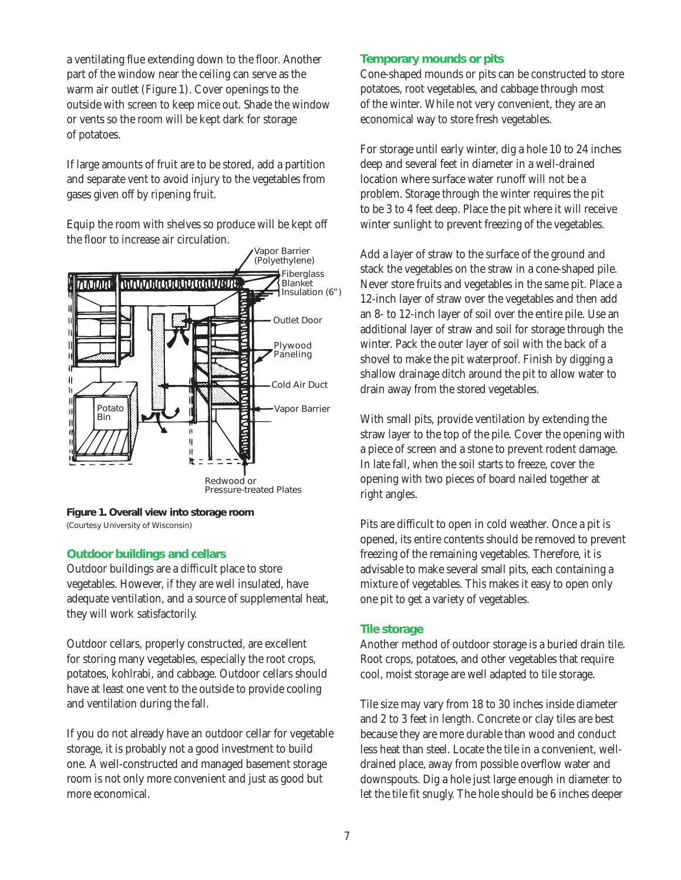a ventilating flue extending down to the floor. Another part of the window near the ceiling can serve as the warm air outlet (Figure 1). Cover openings to the outside with screen to keep mice out. Shade the window or vents so the room will be kept dark for storage of potatoes.

If large amounts of fruit are to be stored, add a partition and separate vent to avoid injury to the vegetables from gases given off by ripening fruit.

Equip the room with shelves so produce will be kept off the floor to increase air circulation.



**Figure 1. Overall view into storage room**  (Courtesy University of Wisconsin)

# **Outdoor buildings and cellars**

Outdoor buildings are a difficult place to store vegetables. However, if they are well insulated, have adequate ventilation, and a source of supplemental heat, they will work satisfactorily.

Outdoor cellars, properly constructed, are excellent for storing many vegetables, especially the root crops, potatoes, kohlrabi, and cabbage. Outdoor cellars should have at least one vent to the outside to provide cooling and ventilation during the fall.

If you do not already have an outdoor cellar for vegetable storage, it is probably not a good investment to build one. A well-constructed and managed basement storage room is not only more convenient and just as good but more economical.

#### **Temporary mounds or pits**

Cone-shaped mounds or pits can be constructed to store potatoes, root vegetables, and cabbage through most of the winter. While not very convenient, they are an economical way to store fresh vegetables.

For storage until early winter, dig a hole 10 to 24 inches deep and several feet in diameter in a well-drained location where surface water runoff will not be a problem. Storage through the winter requires the pit to be 3 to 4 feet deep. Place the pit where it will receive winter sunlight to prevent freezing of the vegetables.

Add a layer of straw to the surface of the ground and stack the vegetables on the straw in a cone-shaped pile. Never store fruits and vegetables in the same pit. Place a 12-inch layer of straw over the vegetables and then add an 8- to 12-inch layer of soil over the entire pile. Use an additional layer of straw and soil for storage through the winter. Pack the outer layer of soil with the back of a shovel to make the pit waterproof. Finish by digging a shallow drainage ditch around the pit to allow water to drain away from the stored vegetables.

With small pits, provide ventilation by extending the straw layer to the top of the pile. Cover the opening with a piece of screen and a stone to prevent rodent damage. In late fall, when the soil starts to freeze, cover the opening with two pieces of board nailed together at right angles.

Pits are difficult to open in cold weather. Once a pit is opened, its entire contents should be removed to prevent freezing of the remaining vegetables. Therefore, it is advisable to make several small pits, each containing a mixture of vegetables. This makes it easy to open only one pit to get a variety of vegetables.

# **Tile storage**

Another method of outdoor storage is a buried drain tile. Root crops, potatoes, and other vegetables that require cool, moist storage are well adapted to tile storage.

Tile size may vary from 18 to 30 inches inside diameter and 2 to 3 feet in length. Concrete or clay tiles are best because they are more durable than wood and conduct less heat than steel. Locate the tile in a convenient, welldrained place, away from possible overflow water and downspouts. Dig a hole just large enough in diameter to let the tile fit snugly. The hole should be 6 inches deeper